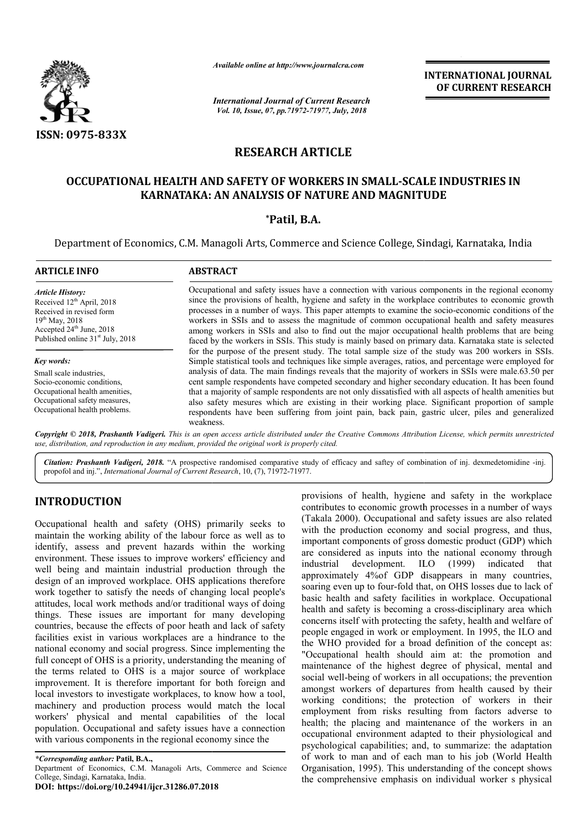

*Available online at http://www.journalcra.com*

*International Journal of Current Research Vol. 10, Issue, 07, pp.71972-71977, July, 2018*

**INTERNATIONAL JOURNAL OF CURRENT RESEARCH**

# **RESEARCH ARTICLE**

# **OCCUPATIONAL HEALTH AND SAFETY OF WORKERS IN SMALL-SCALE INDUSTRIES IN KARNATAKA: AN ANALYSIS OF NATURE AND MAGNITUDE SCALE KARNATAKA:**

### **\*Patil, B.A.**

Department of Economics, C.M. Managoli Arts, Commerce and Science College, Sindagi, Karnataka, India

| <b>ABSTRACT</b>                                                                                                                                                                                                                                                                                                                                                                                                                                                                                                                                                                                                            |
|----------------------------------------------------------------------------------------------------------------------------------------------------------------------------------------------------------------------------------------------------------------------------------------------------------------------------------------------------------------------------------------------------------------------------------------------------------------------------------------------------------------------------------------------------------------------------------------------------------------------------|
| Occupational and safety issues have a connection with various components in the regional economy<br>since the provisions of health, hygiene and safety in the workplace contributes to economic growth<br>processes in a number of ways. This paper attempts to examine the socio-economic conditions of the<br>workers in SSIs and to assess the magnitude of common occupational health and safety measures<br>among workers in SSIs and also to find out the major occupational health problems that are being<br>faced by the workers in SSIs. This study is mainly based on primary data. Karnataka state is selected |
| for the purpose of the present study. The total sample size of the study was 200 workers in SSIs.<br>Simple statistical tools and techniques like simple averages, ratios, and percentage were employed for                                                                                                                                                                                                                                                                                                                                                                                                                |
| analysis of data. The main findings reveals that the majority of workers in SSIs were male.63.50 per<br>cent sample respondents have competed secondary and higher secondary education. It has been found<br>that a majority of sample respondents are not only dissatisfied with all aspects of health amenities but<br>also safety mesures which are existing in their working place. Significant proportion of sample<br>respondents have been suffering from joint pain, back pain, gastric ulcer, piles and generalized<br>weakness.                                                                                  |
| <b>Convright</b> © 2018. Prashanth Vadigeri. This is an open access article distributed under the Creative Commons Attribution License, which permits unrestricted                                                                                                                                                                                                                                                                                                                                                                                                                                                         |

*Copyright © 2018, Prashanth Vadigeri. This is an open use, distribution, and reproduction in any medium, provided the original work is properly cited. access article distributed under the Creative Commons Attribution ribution License, which permits unrestricted*

Citation: Prashanth Vadigeri, 2018. "A prospective randomised comparative study of efficacy and saftey of combination of inj. dexmedetomidine -inj. propofol and inj.", *International Journal of Current Research* , 10, (7), 71972-71977.

# **INTRODUCTION**

Occupational health and safety (OHS) primarily seeks to maintain the working ability of the labour force as well as to identify, assess and prevent hazards within the working environment. These issues to improve workers' efficiency and well being and maintain industrial production through the design of an improved workplace. OHS applications therefore work together to satisfy the needs of changing local people's attitudes, local work methods and/or traditional ways of doing things. These issues are important for many developing countries, because the effects of poor heath and lack of safety facilities exist in various workplaces are a hindrance to the national economy and social progress. Since implementing the full concept of OHS is a priority, understanding the meaning of the terms related to OHS is a major source of workplace improvement. It is therefore important for both foreign and local investors to investigate workplaces, to know how a tool, machinery and production process would match the local workers' physical and mental capabilities of the local population. Occupational and safety issues have a connection with various components in the regional economy since the l production through the<br>DHS applications therefore<br>of changing local people's<br>traditional ways of doing<br>nt for many developing

**DOI: https://doi.org/10.24941/ijcr.31286.07.2018**

**EVALUAT EXECT THE CONSTRIGE THE CONSTRIGE CONSTRIGE CONSTRIGENT CONSTRIGUTED TO TRANSTRIGUTED (Takala 2000). Occupational and safety issues are also related bour force as well as to with the production economy and social** contributes to economic growth processes in a number of ways (Takala 2000). Occupational and safety issues are also related (Takala 2000). Occupational and safety issues are also related with the production economy and social progress, and thus, important components of gross domestic product (GDP) which are considered as inputs into the national economy through industrial development. ILO (1999) indicated that approximately 4%of GDP disappears in many countries, approximately 4% of GDP disappears in many countries, soaring even up to four-fold that, on OHS losses due to lack of basic health and safety facilities in workplace. Occupational health and safety is becoming a cross-disciplinary area which concerns itself with protecting the safety, health and welfare of people engaged in work or employment. In 1995, the ILO and the WHO provided for a broad definition of the concept as: "Occupational health should aim at: the promotion and maintenance of the highest degree of physical, mental and social well-being of workers in all occupations; the prevention amongst workers of departures from health caused by their working conditions; the protection of workers in their employment from risks resulting from factors adverse to health; the placing and maintenance of the workers in an occupational environment adapted to their physiological and psychological capabilities; and, to summarize: the adaptation of work to man and of each man to his job (World Health Organisation, 1995). This understanding of the concept shows the comprehensive emphasis on individual worker s physical concerns itself with protecting the safety, health and welfare of people engaged in work or employment. In 1995, the ILO and the WHO provided for a broad definition of the concept as: "Occupational health should aim at: th **INTERNATIONAL JOUIRNAL**<br> **OF CURRENT RESEARCH**<br> **DETRIENT ARSEARCH**<br> **DETRIENT ARS IN SMALL-SCALE INDUSTRIES IN**<br> **RE AND MAGNITUDE**<br> **CERE COLUMB ANOTIVIDE ASSUPE AND ANOTIVIDE ADMONITION**<br> **CERE AND MAGNITUDE**<br> **CERE AN** 

*<sup>\*</sup>Corresponding author:* **Patil, B.A.,**

Department of Economics, C.M. Managoli Arts, Commerce and Science College, Sindagi, Karnataka, India.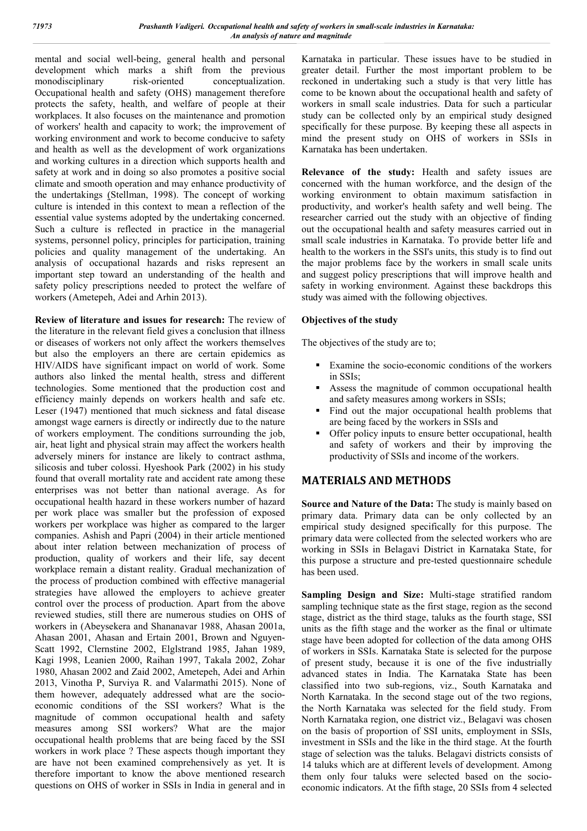mental and social well-being, general health and personal development which marks a shift from the previous monodisciplinary risk-oriented conceptualization. Occupational health and safety (OHS) management therefore protects the safety, health, and welfare of people at their workplaces. It also focuses on the maintenance and promotion of workers' health and capacity to work; the improvement of working environment and work to become conducive to safety and health as well as the development of work organizations and working cultures in a direction which supports health and safety at work and in doing so also promotes a positive social climate and smooth operation and may enhance productivity of the undertakings (Stellman, 1998). The concept of working culture is intended in this context to mean a reflection of the essential value systems adopted by the undertaking concerned. Such a culture is reflected in practice in the managerial systems, personnel policy, principles for participation, training policies and quality management of the undertaking. An analysis of occupational hazards and risks represent an important step toward an understanding of the health and safety policy prescriptions needed to protect the welfare of workers (Ametepeh, Adei and Arhin 2013).

**Review of literature and issues for research:** The review of the literature in the relevant field gives a conclusion that illness or diseases of workers not only affect the workers themselves but also the employers an there are certain epidemics as HIV/AIDS have significant impact on world of work. Some authors also linked the mental health, stress and different technologies. Some mentioned that the production cost and efficiency mainly depends on workers health and safe etc. Leser (1947) mentioned that much sickness and fatal disease amongst wage earners is directly or indirectly due to the nature of workers employment. The conditions surrounding the job, air, heat light and physical strain may affect the workers health adversely miners for instance are likely to contract asthma, silicosis and tuber colossi. Hyeshook Park (2002) in his study found that overall mortality rate and accident rate among these enterprises was not better than national average. As for occupational health hazard in these workers number of hazard per work place was smaller but the profession of exposed workers per workplace was higher as compared to the larger companies. Ashish and Papri (2004) in their article mentioned about inter relation between mechanization of process of production, quality of workers and their life, say decent workplace remain a distant reality. Gradual mechanization of the process of production combined with effective managerial strategies have allowed the employers to achieve greater control over the process of production. Apart from the above reviewed studies, still there are numerous studies on OHS of workers in (Abeysekera and Shananavar 1988, Ahasan 2001a, Ahasan 2001, Ahasan and Ertain 2001, Brown and Nguyen-Scatt 1992, Clernstine 2002, Elglstrand 1985, Jahan 1989, Kagi 1998, Leanien 2000, Raihan 1997, Takala 2002, Zohar 1980, Ahasan 2002 and Zaid 2002, Ametepeh, Adei and Arhin 2013, Vinotha P, Surviya R. and Valarmathi 2015). None of them however, adequately addressed what are the socioeconomic conditions of the SSI workers? What is the magnitude of common occupational health and safety measures among SSI workers? What are the major occupational health problems that are being faced by the SSI workers in work place ? These aspects though important they are have not been examined comprehensively as yet. It is therefore important to know the above mentioned research questions on OHS of worker in SSIs in India in general and in Karnataka in particular. These issues have to be studied in greater detail. Further the most important problem to be reckoned in undertaking such a study is that very little has come to be known about the occupational health and safety of workers in small scale industries. Data for such a particular study can be collected only by an empirical study designed specifically for these purpose. By keeping these all aspects in mind the present study on OHS of workers in SSIs in Karnataka has been undertaken.

**Relevance of the study:** Health and safety issues are concerned with the human workforce, and the design of the working environment to obtain maximum satisfaction in productivity, and worker's health safety and well being. The researcher carried out the study with an objective of finding out the occupational health and safety measures carried out in small scale industries in Karnataka. To provide better life and health to the workers in the SSI's units, this study is to find out the major problems face by the workers in small scale units and suggest policy prescriptions that will improve health and safety in working environment. Against these backdrops this study was aimed with the following objectives.

### **Objectives of the study**

The objectives of the study are to;

- Examine the socio-economic conditions of the workers in SSIs;
- Assess the magnitude of common occupational health and safety measures among workers in SSIs;
- Find out the major occupational health problems that are being faced by the workers in SSIs and
- Offer policy inputs to ensure better occupational, health and safety of workers and their by improving the productivity of SSIs and income of the workers.

### **MATERIALS AND METHODS**

**Source and Nature of the Data:** The study is mainly based on primary data. Primary data can be only collected by an empirical study designed specifically for this purpose. The primary data were collected from the selected workers who are working in SSIs in Belagavi District in Karnataka State, for this purpose a structure and pre-tested questionnaire schedule has been used.

**Sampling Design and Size:** Multi-stage stratified random sampling technique state as the first stage, region as the second stage, district as the third stage, taluks as the fourth stage, SSI units as the fifth stage and the worker as the final or ultimate stage have been adopted for collection of the data among OHS of workers in SSIs. Karnataka State is selected for the purpose of present study, because it is one of the five industrially advanced states in India. The Karnataka State has been classified into two sub-regions, viz., South Karnataka and North Karnataka. In the second stage out of the two regions, the North Karnataka was selected for the field study. From North Karnataka region, one district viz., Belagavi was chosen on the basis of proportion of SSI units, employment in SSIs, investment in SSIs and the like in the third stage. At the fourth stage of selection was the taluks. Belagavi districts consists of 14 taluks which are at different levels of development. Among them only four taluks were selected based on the socioeconomic indicators. At the fifth stage, 20 SSIs from 4 selected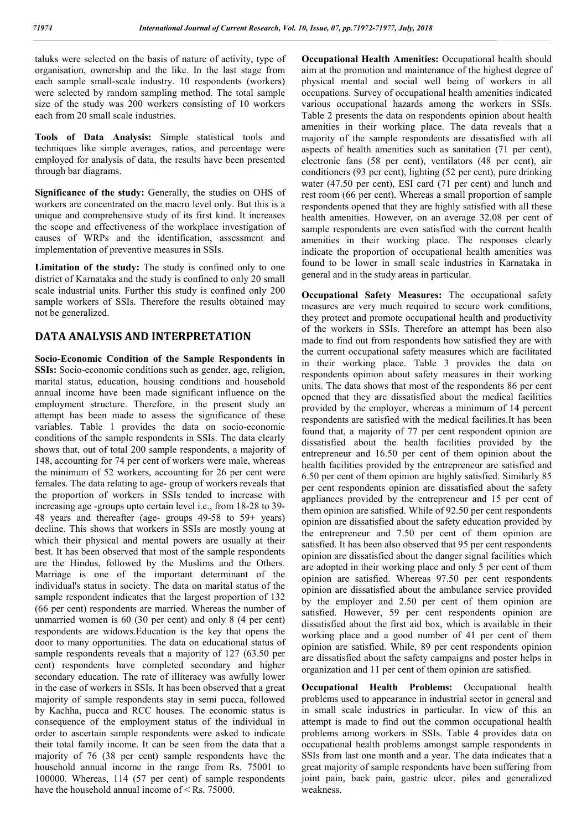taluks were selected on the basis of nature of activity, type of organisation, ownership and the like. In the last stage from each sample small-scale industry. 10 respondents (workers) were selected by random sampling method. The total sample size of the study was 200 workers consisting of 10 workers each from 20 small scale industries.

**Tools of Data Analysis:** Simple statistical tools and techniques like simple averages, ratios, and percentage were employed for analysis of data, the results have been presented through bar diagrams.

**Significance of the study:** Generally, the studies on OHS of workers are concentrated on the macro level only. But this is a unique and comprehensive study of its first kind. It increases the scope and effectiveness of the workplace investigation of causes of WRPs and the identification, assessment and implementation of preventive measures in SSIs.

Limitation of the study: The study is confined only to one district of Karnataka and the study is confined to only 20 small scale industrial units. Further this study is confined only 200 sample workers of SSIs. Therefore the results obtained may not be generalized.

### **DATA ANALYSIS AND INTERPRETATION**

**Socio-Economic Condition of the Sample Respondents in SSIs:** Socio-economic conditions such as gender, age, religion, marital status, education, housing conditions and household annual income have been made significant influence on the employment structure. Therefore, in the present study an attempt has been made to assess the significance of these variables. Table 1 provides the data on socio-economic conditions of the sample respondents in SSIs. The data clearly shows that, out of total 200 sample respondents, a majority of 148, accounting for 74 per cent of workers were male, whereas the minimum of 52 workers, accounting for 26 per cent were females. The data relating to age- group of workers reveals that the proportion of workers in SSIs tended to increase with increasing age -groups upto certain level i.e., from 18-28 to 39- 48 years and thereafter (age- groups 49-58 to 59+ years) decline. This shows that workers in SSIs are mostly young at which their physical and mental powers are usually at their best. It has been observed that most of the sample respondents are the Hindus, followed by the Muslims and the Others. Marriage is one of the important determinant of the individual's status in society. The data on marital status of the sample respondent indicates that the largest proportion of 132 (66 per cent) respondents are married. Whereas the number of unmarried women is 60 (30 per cent) and only 8 (4 per cent) respondents are widows.Education is the key that opens the door to many opportunities. The data on educational status of sample respondents reveals that a majority of 127 (63.50 per cent) respondents have completed secondary and higher secondary education. The rate of illiteracy was awfully lower in the case of workers in SSIs. It has been observed that a great majority of sample respondents stay in semi pucca, followed by Kachha, pucca and RCC houses. The economic status is consequence of the employment status of the individual in order to ascertain sample respondents were asked to indicate their total family income. It can be seen from the data that a majority of 76 (38 per cent) sample respondents have the household annual income in the range from Rs. 75001 to 100000. Whereas, 114 (57 per cent) of sample respondents have the household annual income of < Rs. 75000.

**Occupational Health Amenities:** Occupational health should aim at the promotion and maintenance of the highest degree of physical mental and social well being of workers in all occupations. Survey of occupational health amenities indicated various occupational hazards among the workers in SSIs. Table 2 presents the data on respondents opinion about health amenities in their working place. The data reveals that a majority of the sample respondents are dissatisfied with all aspects of health amenities such as sanitation (71 per cent), electronic fans (58 per cent), ventilators (48 per cent), air conditioners (93 per cent), lighting (52 per cent), pure drinking water (47.50 per cent), ESI card (71 per cent) and lunch and rest room (66 per cent). Whereas a small proportion of sample respondents opened that they are highly satisfied with all these health amenities. However, on an average 32.08 per cent of sample respondents are even satisfied with the current health amenities in their working place. The responses clearly indicate the proportion of occupational health amenities was found to be lower in small scale industries in Karnataka in general and in the study areas in particular.

**Occupational Safety Measures:** The occupational safety measures are very much required to secure work conditions, they protect and promote occupational health and productivity of the workers in SSIs. Therefore an attempt has been also made to find out from respondents how satisfied they are with the current occupational safety measures which are facilitated in their working place. Table 3 provides the data on respondents opinion about safety measures in their working units. The data shows that most of the respondents 86 per cent opened that they are dissatisfied about the medical facilities provided by the employer, whereas a minimum of 14 percent respondents are satisfied with the medical facilities.It has been found that, a majority of 77 per cent respondent opinion are dissatisfied about the health facilities provided by the entrepreneur and 16.50 per cent of them opinion about the health facilities provided by the entrepreneur are satisfied and 6.50 per cent of them opinion are highly satisfied. Similarly 85 per cent respondents opinion are dissatisfied about the safety appliances provided by the entrepreneur and 15 per cent of them opinion are satisfied. While of 92.50 per cent respondents opinion are dissatisfied about the safety education provided by the entrepreneur and 7.50 per cent of them opinion are satisfied. It has been also observed that 95 per cent respondents opinion are dissatisfied about the danger signal facilities which are adopted in their working place and only 5 per cent of them opinion are satisfied. Whereas 97.50 per cent respondents opinion are dissatisfied about the ambulance service provided by the employer and 2.50 per cent of them opinion are satisfied. However, 59 per cent respondents opinion are dissatisfied about the first aid box, which is available in their working place and a good number of 41 per cent of them opinion are satisfied. While, 89 per cent respondents opinion are dissatisfied about the safety campaigns and poster helps in organization and 11 per cent of them opinion are satisfied.

**Occupational Health Problems:** Occupational health problems used to appearance in industrial sector in general and in small scale industries in particular. In view of this an attempt is made to find out the common occupational health problems among workers in SSIs. Table 4 provides data on occupational health problems amongst sample respondents in SSIs from last one month and a year. The data indicates that a great majority of sample respondents have been suffering from joint pain, back pain, gastric ulcer, piles and generalized weakness.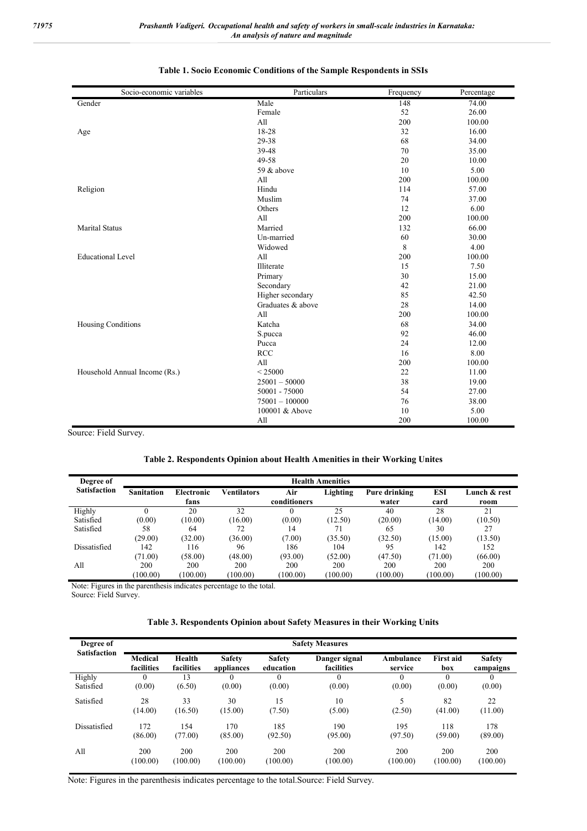| Socio-economic variables      | Particulars       | Frequency | Percentage |
|-------------------------------|-------------------|-----------|------------|
| Gender                        | Male              | 148       | 74.00      |
|                               | Female            | 52        | 26.00      |
|                               | All               | 200       | 100.00     |
| Age                           | 18-28             | 32        | 16.00      |
|                               | 29-38             | 68        | 34.00      |
|                               | 39-48             | 70        | 35.00      |
|                               | 49-58             | 20        | 10.00      |
|                               | 59 & above        | 10        | 5.00       |
|                               | All               | 200       | 100.00     |
| Religion                      | Hindu             | 114       | 57.00      |
|                               | Muslim            | 74        | 37.00      |
|                               | Others            | 12        | 6.00       |
|                               | All               | 200       | 100.00     |
| <b>Marital Status</b>         | Married           | 132       | 66.00      |
|                               | Un-married        | 60        | 30.00      |
|                               | Widowed           | 8         | 4.00       |
| <b>Educational Level</b>      | All               | 200       | 100.00     |
|                               | Illiterate        | 15        | 7.50       |
|                               | Primary           | 30        | 15.00      |
|                               | Secondary         | 42        | 21.00      |
|                               | Higher secondary  | 85        | 42.50      |
|                               | Graduates & above | 28        | 14.00      |
|                               | All               | 200       | 100.00     |
| Housing Conditions            | Katcha            | 68        | 34.00      |
|                               | S.pucca           | 92        | 46.00      |
|                               | Pucca             | 24        | 12.00      |
|                               | <b>RCC</b>        | 16        | 8.00       |
|                               | All               | 200       | 100.00     |
| Household Annual Income (Rs.) | < 25000           | 22        | 11.00      |
|                               | $25001 - 50000$   | 38        | 19.00      |
|                               | 50001 - 75000     | 54        | 27.00      |
|                               | $75001 - 100000$  | 76        | 38.00      |
|                               | 100001 & Above    | 10        | 5.00       |
|                               | All               | 200       | 100.00     |
| $\ldots$ Eig14 C.,            |                   |           |            |

#### **Table 1. Socio Economic Conditions of the Sample Respondents in SSIs**

Source: Field Survey.

### **Table 2. Respondents Opinion about Health Amenities in their Working Unites**

| Degree of           | <b>Health Amenities</b> |            |                    |              |          |               |            |              |
|---------------------|-------------------------|------------|--------------------|--------------|----------|---------------|------------|--------------|
| <b>Satisfaction</b> | <b>Sanitation</b>       | Electronic | <b>Ventilators</b> | Air          | Lighting | Pure drinking | <b>ESI</b> | Lunch & rest |
|                     |                         | fans       |                    | conditioners |          | water         | card       | room         |
| Highly              |                         | 20         | 32                 |              | 25       | 40            | 28         | 21           |
| Satisfied           | (0.00)                  | (10.00)    | (16.00)            | (0.00)       | (12.50)  | (20.00)       | (14.00)    | (10.50)      |
| Satisfied           | 58                      | 64         | 72                 | 14           |          | 65            | 30         | 27           |
|                     | (29.00)                 | (32.00)    | (36.00)            | (7.00)       | (35.50)  | (32.50)       | (15.00)    | (13.50)      |
| Dissatisfied        | 142                     | 116        | 96                 | 186          | 104      | 95            | 142        | 152          |
|                     | (71.00)                 | (58.00)    | (48.00)            | (93.00)      | (52.00)  | (47.50)       | (71.00)    | (66.00)      |
| All                 | 200                     | 200        | 200                | 200          | 200      | 200           | 200        | 200          |
|                     | (100.00)                | (100.00)   | (100.00)           | (100.00)     | (100.00) | (100.00)      | (100.00)   | (100.00)     |

Note: Figures in the parenthesis indicates percentage to the total.

Source: Field Survey.

### **Table 3. Respondents Opinion about Safety Measures in their Working Units**

| Degree of           | <b>Safety Measures</b>       |                      |                             |                            |                             |                      |                         |                            |
|---------------------|------------------------------|----------------------|-----------------------------|----------------------------|-----------------------------|----------------------|-------------------------|----------------------------|
| <b>Satisfaction</b> | <b>Medical</b><br>facilities | Health<br>facilities | <b>Safety</b><br>appliances | <b>Safety</b><br>education | Danger signal<br>facilities | Ambulance<br>service | <b>First aid</b><br>box | <b>Safety</b><br>campaigns |
| Highly              |                              | 13                   |                             |                            |                             |                      | $\theta$                | $\theta$                   |
| Satisfied           | (0.00)                       | (6.50)               | (0.00)                      | (0.00)                     | (0.00)                      | (0.00)               | (0.00)                  | (0.00)                     |
| Satisfied           | 28                           | 33                   | 30                          | 15                         | 10                          | 5                    | 82                      | 22                         |
|                     | (14.00)                      | (16.50)              | (15.00)                     | (7.50)                     | (5.00)                      | (2.50)               | (41.00)                 | (11.00)                    |
| Dissatisfied        | 172                          | 154                  | 170                         | 185                        | 190                         | 195                  | 118                     | 178                        |
|                     | (86.00)                      | (77.00)              | (85.00)                     | (92.50)                    | (95.00)                     | (97.50)              | (59.00)                 | (89.00)                    |
| All                 | 200                          | 200                  | 200                         | 200                        | 200                         | 200                  | 200                     | 200                        |
|                     | (100.00)                     | (100.00)             | (100.00)                    | (100.00)                   | (100.00)                    | (100.00)             | (100.00)                | (100.00)                   |

Note: Figures in the parenthesis indicates percentage to the total.Source: Field Survey.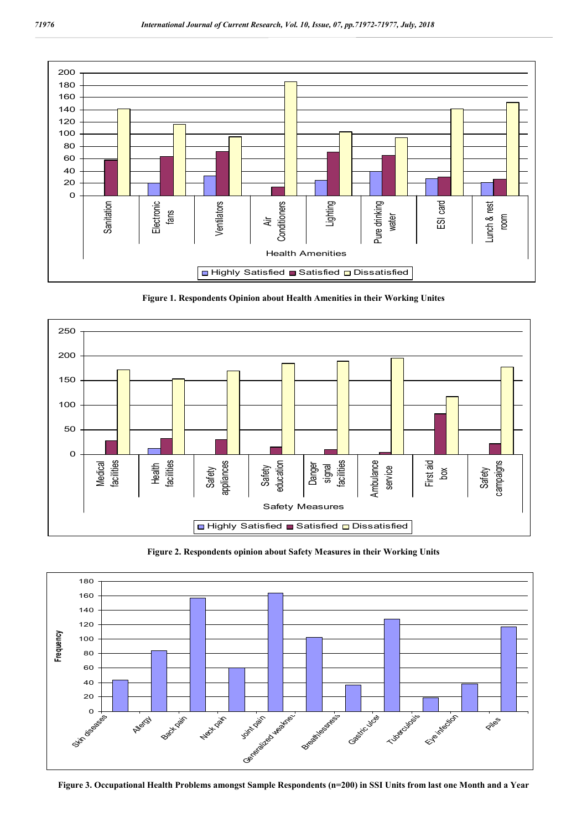

**Figure 1. Respondents Opinion about Health Amenities in their Working Unites**



**Figure 2. Respondents opinion about Safety Measures in their Working Units**



**Figure 3. Occupational Health Problems amongst Sample Respondents (n=200) in SSI Units from last one Month and a Year**